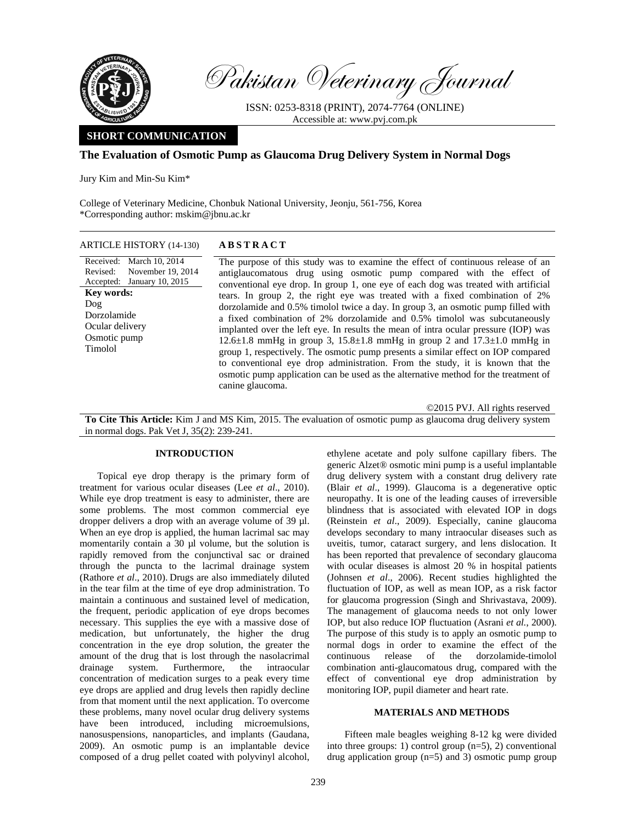

Pakistan Veterinary Journal

ISSN: 0253-8318 (PRINT), 2074-7764 (ONLINE) Accessible at: www.pvj.com.pk

# **SHORT COMMUNICATION**

# **The Evaluation of Osmotic Pump as Glaucoma Drug Delivery System in Normal Dogs**

Jury Kim and Min-Su Kim\*

College of Veterinary Medicine, Chonbuk National University, Jeonju, 561-756, Korea \*Corresponding author: mskim@jbnu.ac.kr

# ARTICLE HISTORY (14-130) **ABSTRACT**

Received: March 10, 2014 Revised: Accepted: January 10, 2015 November 19, 2014 **Key words:**  Dog Dorzolamide Ocular delivery Osmotic pump Timolol

 The purpose of this study was to examine the effect of continuous release of an antiglaucomatous drug using osmotic pump compared with the effect of conventional eye drop. In group 1, one eye of each dog was treated with artificial tears. In group 2, the right eye was treated with a fixed combination of 2% dorzolamide and 0.5% timolol twice a day. In group 3, an osmotic pump filled with a fixed combination of 2% dorzolamide and 0.5% timolol was subcutaneously implanted over the left eye. In results the mean of intra ocular pressure (IOP) was 12.6 $\pm$ 1.8 mmHg in group 3, 15.8 $\pm$ 1.8 mmHg in group 2 and 17.3 $\pm$ 1.0 mmHg in group 1, respectively. The osmotic pump presents a similar effect on IOP compared to conventional eye drop administration. From the study, it is known that the osmotic pump application can be used as the alternative method for the treatment of canine glaucoma.

©2015 PVJ. All rights reserved

**To Cite This Article:** Kim J and MS Kim, 2015. The evaluation of osmotic pump as glaucoma drug delivery system in normal dogs. Pak Vet J, 35(2): 239-241.

### **INTRODUCTION**

Topical eye drop therapy is the primary form of treatment for various ocular diseases (Lee *et al*., 2010). While eye drop treatment is easy to administer, there are some problems. The most common commercial eye dropper delivers a drop with an average volume of 39 µl. When an eye drop is applied, the human lacrimal sac may momentarily contain a 30 µl volume, but the solution is rapidly removed from the conjunctival sac or drained through the puncta to the lacrimal drainage system (Rathore *et al*., 2010). Drugs are also immediately diluted in the tear film at the time of eye drop administration. To maintain a continuous and sustained level of medication, the frequent, periodic application of eye drops becomes necessary. This supplies the eye with a massive dose of medication, but unfortunately, the higher the drug concentration in the eye drop solution, the greater the amount of the drug that is lost through the nasolacrimal drainage system. Furthermore, the intraocular concentration of medication surges to a peak every time eye drops are applied and drug levels then rapidly decline from that moment until the next application. To overcome these problems, many novel ocular drug delivery systems have been introduced, including microemulsions, nanosuspensions, nanoparticles, and implants (Gaudana, 2009). An osmotic pump is an implantable device composed of a drug pellet coated with polyvinyl alcohol,

ethylene acetate and poly sulfone capillary fibers. The generic Alzet® osmotic mini pump is a useful implantable drug delivery system with a constant drug delivery rate (Blair *et al*., 1999). Glaucoma is a degenerative optic neuropathy. It is one of the leading causes of irreversible blindness that is associated with elevated IOP in dogs (Reinstein *et al*., 2009). Especially, canine glaucoma develops secondary to many intraocular diseases such as uveitis, tumor, cataract surgery, and lens dislocation. It has been reported that prevalence of secondary glaucoma with ocular diseases is almost 20 % in hospital patients (Johnsen *et al*., 2006). Recent studies highlighted the fluctuation of IOP, as well as mean IOP, as a risk factor for glaucoma progression (Singh and Shrivastava, 2009). The management of glaucoma needs to not only lower IOP, but also reduce IOP fluctuation (Asrani *et al.*, 2000). The purpose of this study is to apply an osmotic pump to normal dogs in order to examine the effect of the continuous release of the dorzolamide-timolol combination anti-glaucomatous drug, compared with the effect of conventional eye drop administration by monitoring IOP, pupil diameter and heart rate.

## **MATERIALS AND METHODS**

Fifteen male beagles weighing 8-12 kg were divided into three groups: 1) control group (n=5), 2) conventional drug application group  $(n=5)$  and 3) osmotic pump group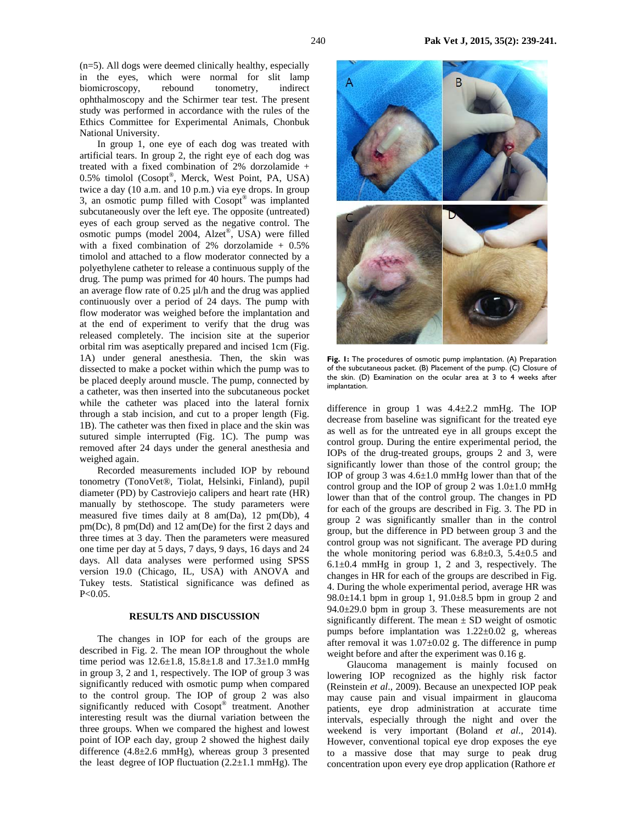In group 1, one eye of each dog was treated with artificial tears. In group 2, the right eye of each dog was treated with a fixed combination of 2% dorzolamide + 0.5% timolol (Cosopt®, Merck, West Point, PA, USA) twice a day (10 a.m. and 10 p.m.) via eye drops. In group 3, an osmotic pump filled with Cosopt® was implanted subcutaneously over the left eye. The opposite (untreated) eyes of each group served as the negative control. The osmotic pumps (model 2004, Alzet®, USA) were filled with a fixed combination of 2% dorzolamide + 0.5% timolol and attached to a flow moderator connected by a polyethylene catheter to release a continuous supply of the drug. The pump was primed for 40 hours. The pumps had an average flow rate of 0.25 µl/h and the drug was applied continuously over a period of 24 days. The pump with flow moderator was weighed before the implantation and at the end of experiment to verify that the drug was released completely. The incision site at the superior orbital rim was aseptically prepared and incised 1cm (Fig. 1A) under general anesthesia. Then, the skin was dissected to make a pocket within which the pump was to be placed deeply around muscle. The pump, connected by a catheter, was then inserted into the subcutaneous pocket while the catheter was placed into the lateral fornix through a stab incision, and cut to a proper length (Fig. 1B). The catheter was then fixed in place and the skin was sutured simple interrupted (Fig. 1C). The pump was removed after 24 days under the general anesthesia and weighed again.

Recorded measurements included IOP by rebound tonometry (TonoVet®, Tiolat, Helsinki, Finland), pupil diameter (PD) by Castroviejo calipers and heart rate (HR) manually by stethoscope. The study parameters were measured five times daily at 8 am(Da), 12 pm(Db), 4 pm(Dc), 8 pm(Dd) and 12 am(De) for the first 2 days and three times at 3 day. Then the parameters were measured one time per day at 5 days, 7 days, 9 days, 16 days and 24 days. All data analyses were performed using SPSS version 19.0 (Chicago, IL, USA) with ANOVA and Tukey tests. Statistical significance was defined as  $P < 0.05$ .

# **RESULTS AND DISCUSSION**

The changes in IOP for each of the groups are described in Fig. 2. The mean IOP throughout the whole time period was  $12.6 \pm 1.8$ ,  $15.8 \pm 1.8$  and  $17.3 \pm 1.0$  mmHg in group 3, 2 and 1, respectively. The IOP of group 3 was significantly reduced with osmotic pump when compared to the control group. The IOP of group 2 was also significantly reduced with Cosopt® treatment. Another interesting result was the diurnal variation between the three groups. When we compared the highest and lowest point of IOP each day, group 2 showed the highest daily difference  $(4.8\pm 2.6 \text{ mmHg})$ , whereas group 3 presented the least degree of IOP fluctuation  $(2.2 \pm 1.1 \text{ mmHg})$ . The



**Fig. 1:** The procedures of osmotic pump implantation. (A) Preparation of the subcutaneous packet. (B) Placement of the pump. (C) Closure of the skin. (D) Examination on the ocular area at 3 to 4 weeks after implantation.

difference in group 1 was  $4.4 \pm 2.2$  mmHg. The IOP decrease from baseline was significant for the treated eye as well as for the untreated eye in all groups except the control group. During the entire experimental period, the IOPs of the drug-treated groups, groups 2 and 3, were significantly lower than those of the control group; the IOP of group 3 was  $4.6 \pm 1.0$  mmHg lower than that of the control group and the IOP of group 2 was  $1.0\pm1.0$  mmHg lower than that of the control group. The changes in PD for each of the groups are described in Fig. 3. The PD in group 2 was significantly smaller than in the control group, but the difference in PD between group 3 and the control group was not significant. The average PD during the whole monitoring period was  $6.8 \pm 0.3$ ,  $5.4 \pm 0.5$  and  $6.1\pm0.4$  mmHg in group 1, 2 and 3, respectively. The changes in HR for each of the groups are described in Fig. 4. During the whole experimental period, average HR was 98.0 $\pm$ 14.1 bpm in group 1, 91.0 $\pm$ 8.5 bpm in group 2 and  $94.0 \pm 29.0$  bpm in group 3. These measurements are not significantly different. The mean  $\pm$  SD weight of osmotic pumps before implantation was  $1.22 \pm 0.02$  g, whereas after removal it was  $1.07 \pm 0.02$  g. The difference in pump weight before and after the experiment was 0.16 g.

 Glaucoma management is mainly focused on lowering IOP recognized as the highly risk factor (Reinstein *et al*., 2009). Because an unexpected IOP peak may cause pain and visual impairment in glaucoma patients, eye drop administration at accurate time intervals, especially through the night and over the weekend is very important (Boland *et al.*, 2014). However, conventional topical eye drop exposes the eye to a massive dose that may surge to peak drug concentration upon every eye drop application (Rathore *et*